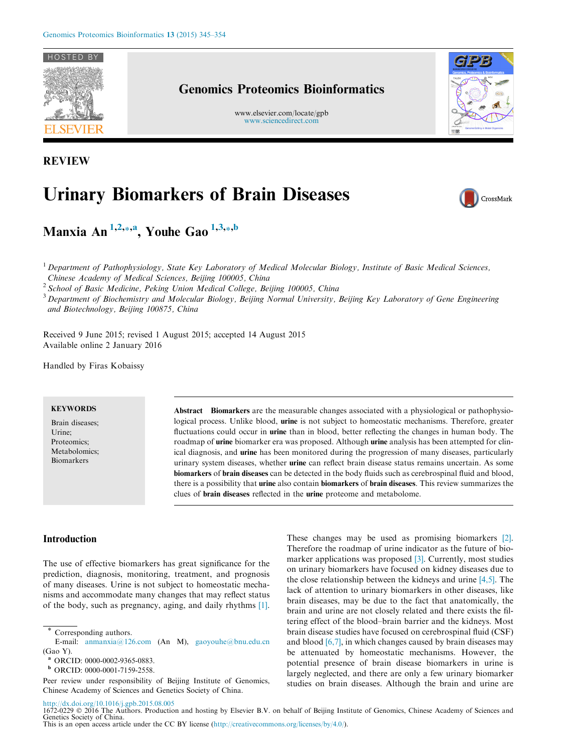

# Genomics Proteomics Bioinformatics

www.elsevier.com/locate/gpb [www.sciencedirect.com](http://www.sciencedirect.com)



REVIEW

# Urinary Biomarkers of Brain Diseases



CrossMark

Manxia An <sup>1,2,\*,a</sup>, Youhe Gao <sup>1,3,\*,b</sup>

 $<sup>1</sup>$  Department of Pathophysiology, State Key Laboratory of Medical Molecular Biology, Institute of Basic Medical Sciences,</sup> Chinese Academy of Medical Sciences, Beijing 100005, China

<sup>2</sup> School of Basic Medicine, Peking Union Medical College, Beijing 100005, China

<sup>3</sup> Department of Biochemistry and Molecular Biology, Beijing Normal University, Beijing Key Laboratory of Gene Engineering and Biotechnology, Beijing 100875, China

Received 9 June 2015; revised 1 August 2015; accepted 14 August 2015 Available online 2 January 2016

Handled by Firas Kobaissy

#### **KEYWORDS**

Brain diseases; Urine; Proteomics; Metabolomics; Biomarkers

Abstract Biomarkers are the measurable changes associated with a physiological or pathophysiological process. Unlike blood, urine is not subject to homeostatic mechanisms. Therefore, greater fluctuations could occur in **urine** than in blood, better reflecting the changes in human body. The roadmap of urine biomarker era was proposed. Although urine analysis has been attempted for clinical diagnosis, and urine has been monitored during the progression of many diseases, particularly urinary system diseases, whether urine can reflect brain disease status remains uncertain. As some biomarkers of brain diseases can be detected in the body fluids such as cerebrospinal fluid and blood, there is a possibility that urine also contain biomarkers of brain diseases. This review summarizes the clues of brain diseases reflected in the urine proteome and metabolome.

# Introduction

The use of effective biomarkers has great significance for the prediction, diagnosis, monitoring, treatment, and prognosis of many diseases. Urine is not subject to homeostatic mechanisms and accommodate many changes that may reflect status of the body, such as pregnancy, aging, and daily rhythms [\[1\]](#page-7-0). These changes may be used as promising biomarkers [\[2\]](#page-7-0). Therefore the roadmap of urine indicator as the future of bio-marker applications was proposed [\[3\].](#page-7-0) Currently, most studies on urinary biomarkers have focused on kidney diseases due to the close relationship between the kidneys and urine [\[4,5\].](#page-7-0) The lack of attention to urinary biomarkers in other diseases, like brain diseases, may be due to the fact that anatomically, the brain and urine are not closely related and there exists the filtering effect of the blood–brain barrier and the kidneys. Most brain disease studies have focused on cerebrospinal fluid (CSF) and blood [\[6,7\],](#page-7-0) in which changes caused by brain diseases may be attenuated by homeostatic mechanisms. However, the potential presence of brain disease biomarkers in urine is largely neglected, and there are only a few urinary biomarker studies on brain diseases. Although the brain and urine are

<http://dx.doi.org/10.1016/j.gpb.2015.08.005>

Corresponding authors.

E-mail: [anmanxia@126.com](mailto:anmanxia@126.com) (An M), [gaoyouhe@bnu.edu.cn](mailto:gaoyouhe@bnu.edu.cn) (Gao Y).

<sup>a</sup> ORCID: 0000-0002-9365-0883.

<sup>b</sup> ORCID: 0000-0001-7159-2558.

Peer review under responsibility of Beijing Institute of Genomics, Chinese Academy of Sciences and Genetics Society of China.

<sup>1672-0229 © 2016</sup> The Authors. Production and hosting by Elsevier B.V. on behalf of Beijing Institute of Genomics, Chinese Academy of Sciences and Genetics Society of China. This is an open access article under the CC BY license [\(http://creativecommons.org/licenses/by/4.0/\)](http://creativecommons.org/licenses/by/4.0/).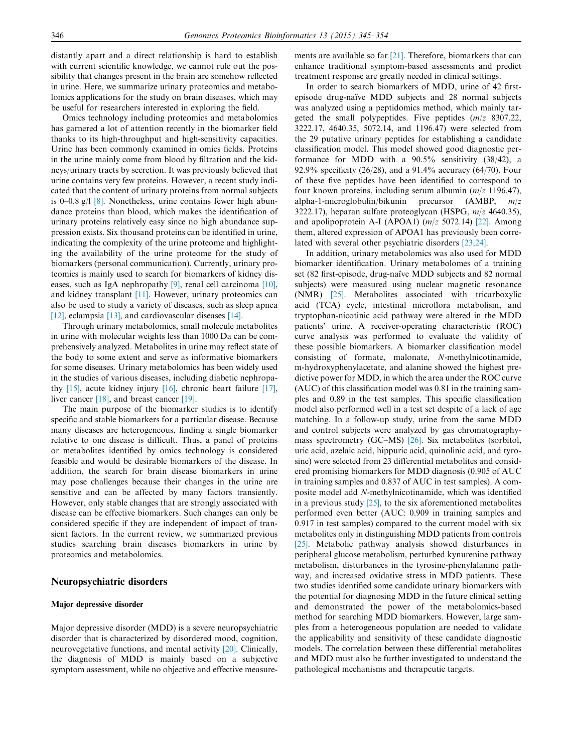distantly apart and a direct relationship is hard to establish with current scientific knowledge, we cannot rule out the possibility that changes present in the brain are somehow reflected in urine. Here, we summarize urinary proteomics and metabolomics applications for the study on brain diseases, which may be useful for researchers interested in exploring the field.

Omics technology including proteomics and metabolomics has garnered a lot of attention recently in the biomarker field thanks to its high-throughput and high-sensitivity capacities. Urine has been commonly examined in omics fields. Proteins in the urine mainly come from blood by filtration and the kidneys/urinary tracts by secretion. It was previously believed that urine contains very few proteins. However, a recent study indicated that the content of urinary proteins from normal subjects is  $0-0.8$  g/l  $[8]$ . Nonetheless, urine contains fewer high abundance proteins than blood, which makes the identification of urinary proteins relatively easy since no high abundance suppression exists. Six thousand proteins can be identified in urine, indicating the complexity of the urine proteome and highlighting the availability of the urine proteome for the study of biomarkers (personal communication). Currently, urinary proteomics is mainly used to search for biomarkers of kidney diseases, such as IgA nephropathy [\[9\],](#page-7-0) renal cell carcinoma [\[10\]](#page-7-0), and kidney transplant [\[11\].](#page-7-0) However, urinary proteomics can also be used to study a variety of diseases, such as sleep apnea [\[12\],](#page-7-0) eclampsia [\[13\],](#page-7-0) and cardiovascular diseases [\[14\].](#page-7-0)

Through urinary metabolomics, small molecule metabolites in urine with molecular weights less than 1000 Da can be comprehensively analyzed. Metabolites in urine may reflect state of the body to some extent and serve as informative biomarkers for some diseases. Urinary metabolomics has been widely used in the studies of various diseases, including diabetic nephropathy [\[15\]](#page-7-0), acute kidney injury [\[16\]](#page-7-0), chronic heart failure [\[17\]](#page-7-0), liver cancer [\[18\],](#page-7-0) and breast cancer [\[19\]](#page-8-0).

The main purpose of the biomarker studies is to identify specific and stable biomarkers for a particular disease. Because many diseases are heterogeneous, finding a single biomarker relative to one disease is difficult. Thus, a panel of proteins or metabolites identified by omics technology is considered feasible and would be desirable biomarkers of the disease. In addition, the search for brain disease biomarkers in urine may pose challenges because their changes in the urine are sensitive and can be affected by many factors transiently. However, only stable changes that are strongly associated with disease can be effective biomarkers. Such changes can only be considered specific if they are independent of impact of transient factors. In the current review, we summarized previous studies searching brain diseases biomarkers in urine by proteomics and metabolomics.

#### Neuropsychiatric disorders

#### Major depressive disorder

Major depressive disorder (MDD) is a severe neuropsychiatric disorder that is characterized by disordered mood, cognition, neurovegetative functions, and mental activity [\[20\].](#page-8-0) Clinically, the diagnosis of MDD is mainly based on a subjective symptom assessment, while no objective and effective measurements are available so far [\[21\]](#page-8-0). Therefore, biomarkers that can enhance traditional symptom-based assessments and predict treatment response are greatly needed in clinical settings.

In order to search biomarkers of MDD, urine of 42 firstepisode drug-naïve MDD subjects and 28 normal subjects was analyzed using a peptidomics method, which mainly targeted the small polypeptides. Five peptides  $(m/z 8307.22)$ , 3222.17, 4640.35, 5072.14, and 1196.47) were selected from the 29 putative urinary peptides for establishing a candidate classification model. This model showed good diagnostic performance for MDD with a 90.5% sensitivity (38/42), a 92.9% specificity (26/28), and a 91.4% accuracy (64/70). Four of these five peptides have been identified to correspond to four known proteins, including serum albumin  $(m/z 1196.47)$ , alpha-1-microglobulin/bikunin precursor (AMBP, m/z 3222.17), heparan sulfate proteoglycan (HSPG,  $m/z$  4640.35), and apolipoprotein A-I (APOA1)  $(m/z 5072.14)$  [\[22\]](#page-8-0). Among them, altered expression of APOA1 has previously been correlated with several other psychiatric disorders [\[23,24\]](#page-8-0).

In addition, urinary metabolomics was also used for MDD biomarker identification. Urinary metabolomes of a training set (82 first-episode, drug-naïve MDD subjects and 82 normal subjects) were measured using nuclear magnetic resonance (NMR) [\[25\].](#page-8-0) Metabolites associated with tricarboxylic acid (TCA) cycle, intestinal microflora metabolism, and tryptophan-nicotinic acid pathway were altered in the MDD patients' urine. A receiver-operating characteristic (ROC) curve analysis was performed to evaluate the validity of these possible biomarkers. A biomarker classification model consisting of formate, malonate, N-methylnicotinamide, m-hydroxyphenylacetate, and alanine showed the highest predictive power for MDD, in which the area under the ROC curve (AUC) of this classification model was 0.81 in the training samples and 0.89 in the test samples. This specific classification model also performed well in a test set despite of a lack of age matching. In a follow-up study, urine from the same MDD and control subjects were analyzed by gas chromatographymass spectrometry (GC–MS) [\[26\]](#page-8-0). Six metabolites (sorbitol, uric acid, azelaic acid, hippuric acid, quinolinic acid, and tyrosine) were selected from 23 differential metabolites and considered promising biomarkers for MDD diagnosis (0.905 of AUC in training samples and 0.837 of AUC in test samples). A composite model add N-methylnicotinamide, which was identified in a previous study [\[25\]](#page-8-0), to the six aforementioned metabolites performed even better (AUC: 0.909 in training samples and 0.917 in test samples) compared to the current model with six metabolites only in distinguishing MDD patients from controls [\[25\].](#page-8-0) Metabolic pathway analysis showed disturbances in peripheral glucose metabolism, perturbed kynurenine pathway metabolism, disturbances in the tyrosine-phenylalanine pathway, and increased oxidative stress in MDD patients. These two studies identified some candidate urinary biomarkers with the potential for diagnosing MDD in the future clinical setting and demonstrated the power of the metabolomics-based method for searching MDD biomarkers. However, large samples from a heterogeneous population are needed to validate the applicability and sensitivity of these candidate diagnostic models. The correlation between these differential metabolites and MDD must also be further investigated to understand the pathological mechanisms and therapeutic targets.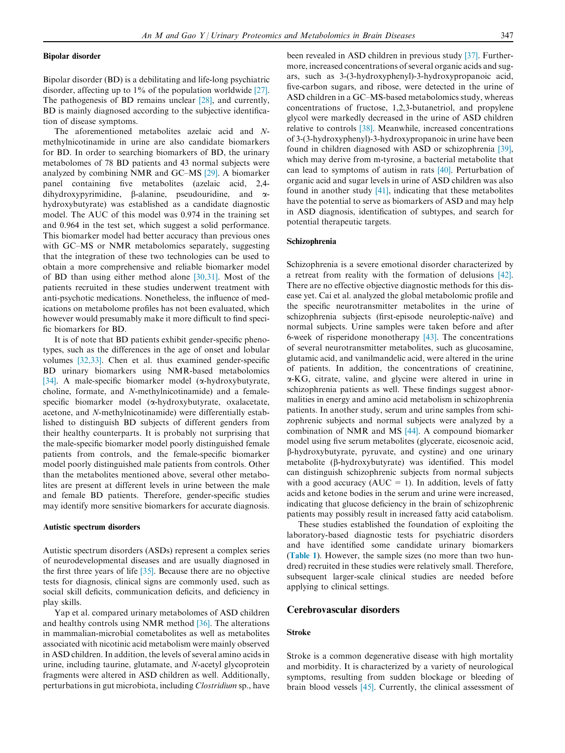Bipolar disorder (BD) is a debilitating and life-long psychiatric disorder, affecting up to 1% of the population worldwide [\[27\]](#page-8-0). The pathogenesis of BD remains unclear [\[28\],](#page-8-0) and currently, BD is mainly diagnosed according to the subjective identification of disease symptoms.

The aforementioned metabolites azelaic acid and Nmethylnicotinamide in urine are also candidate biomarkers for BD. In order to searching biomarkers of BD, the urinary metabolomes of 78 BD patients and 43 normal subjects were analyzed by combining NMR and GC–MS [\[29\]](#page-8-0). A biomarker panel containing five metabolites (azelaic acid, 2,4 dihydroxypyrimidine,  $\beta$ -alanine, pseudouridine, and  $\alpha$ hydroxybutyrate) was established as a candidate diagnostic model. The AUC of this model was 0.974 in the training set and 0.964 in the test set, which suggest a solid performance. This biomarker model had better accuracy than previous ones with GC–MS or NMR metabolomics separately, suggesting that the integration of these two technologies can be used to obtain a more comprehensive and reliable biomarker model of BD than using either method alone [\[30,31\].](#page-8-0) Most of the patients recruited in these studies underwent treatment with anti-psychotic medications. Nonetheless, the influence of medications on metabolome profiles has not been evaluated, which however would presumably make it more difficult to find specific biomarkers for BD.

It is of note that BD patients exhibit gender-specific phenotypes, such as the differences in the age of onset and lobular volumes [\[32,33\]](#page-8-0). Chen et al. thus examined gender-specific BD urinary biomarkers using NMR-based metabolomics [\[34\]](#page-8-0). A male-specific biomarker model ( $\alpha$ -hydroxybutyrate, choline, formate, and N-methylnicotinamide) and a femalespecific biomarker model (a-hydroxybutyrate, oxalacetate, acetone, and N-methylnicotinamide) were differentially established to distinguish BD subjects of different genders from their healthy counterparts. It is probably not surprising that the male-specific biomarker model poorly distinguished female patients from controls, and the female-specific biomarker model poorly distinguished male patients from controls. Other than the metabolites mentioned above, several other metabolites are present at different levels in urine between the male and female BD patients. Therefore, gender-specific studies may identify more sensitive biomarkers for accurate diagnosis.

#### Autistic spectrum disorders

Autistic spectrum disorders (ASDs) represent a complex series of neurodevelopmental diseases and are usually diagnosed in the first three years of life [\[35\].](#page-8-0) Because there are no objective tests for diagnosis, clinical signs are commonly used, such as social skill deficits, communication deficits, and deficiency in play skills.

Yap et al. compared urinary metabolomes of ASD children and healthy controls using NMR method [\[36\]](#page-8-0). The alterations in mammalian-microbial cometabolites as well as metabolites associated with nicotinic acid metabolism were mainly observed in ASD children. In addition, the levels of several amino acids in urine, including taurine, glutamate, and N-acetyl glycoprotein fragments were altered in ASD children as well. Additionally, perturbations in gut microbiota, including Clostridium sp., have been revealed in ASD children in previous study [\[37\].](#page-8-0) Furthermore, increased concentrations of several organic acids and sugars, such as 3-(3-hydroxyphenyl)-3-hydroxypropanoic acid, five-carbon sugars, and ribose, were detected in the urine of ASD children in a GC–MS-based metabolomics study, whereas concentrations of fructose, 1,2,3-butanetriol, and propylene glycol were markedly decreased in the urine of ASD children relative to controls [\[38\].](#page-8-0) Meanwhile, increased concentrations of 3-(3-hydroxyphenyl)-3-hydroxypropanoic in urine have been found in children diagnosed with ASD or schizophrenia [\[39\]](#page-8-0), which may derive from m-tyrosine, a bacterial metabolite that can lead to symptoms of autism in rats [\[40\]](#page-8-0). Perturbation of organic acid and sugar levels in urine of ASD children was also found in another study  $[41]$ , indicating that these metabolites have the potential to serve as biomarkers of ASD and may help in ASD diagnosis, identification of subtypes, and search for potential therapeutic targets.

#### Schizophrenia

Schizophrenia is a severe emotional disorder characterized by a retreat from reality with the formation of delusions [\[42\]](#page-8-0). There are no effective objective diagnostic methods for this disease yet. Cai et al. analyzed the global metabolomic profile and the specific neurotransmitter metabolites in the urine of schizophrenia subjects (first-episode neuroleptic-naïve) and normal subjects. Urine samples were taken before and after 6-week of risperidone monotherapy [\[43\]](#page-8-0). The concentrations of several neurotransmitter metabolites, such as glucosamine, glutamic acid, and vanilmandelic acid, were altered in the urine of patients. In addition, the concentrations of creatinine, a-KG, citrate, valine, and glycine were altered in urine in schizophrenia patients as well. These findings suggest abnormalities in energy and amino acid metabolism in schizophrenia patients. In another study, serum and urine samples from schizophrenic subjects and normal subjects were analyzed by a combination of NMR and MS [\[44\].](#page-8-0) A compound biomarker model using five serum metabolites (glycerate, eicosenoic acid, b-hydroxybutyrate, pyruvate, and cystine) and one urinary metabolite (b-hydroxybutyrate) was identified. This model can distinguish schizophrenic subjects from normal subjects with a good accuracy ( $AUC = 1$ ). In addition, levels of fatty acids and ketone bodies in the serum and urine were increased, indicating that glucose deficiency in the brain of schizophrenic patients may possibly result in increased fatty acid catabolism.

These studies established the foundation of exploiting the laboratory-based diagnostic tests for psychiatric disorders and have identified some candidate urinary biomarkers ([Table 1](#page-3-0)). However, the sample sizes (no more than two hundred) recruited in these studies were relatively small. Therefore, subsequent larger-scale clinical studies are needed before applying to clinical settings.

# Cerebrovascular disorders

#### Stroke

Stroke is a common degenerative disease with high mortality and morbidity. It is characterized by a variety of neurological symptoms, resulting from sudden blockage or bleeding of brain blood vessels [\[45\]](#page-8-0). Currently, the clinical assessment of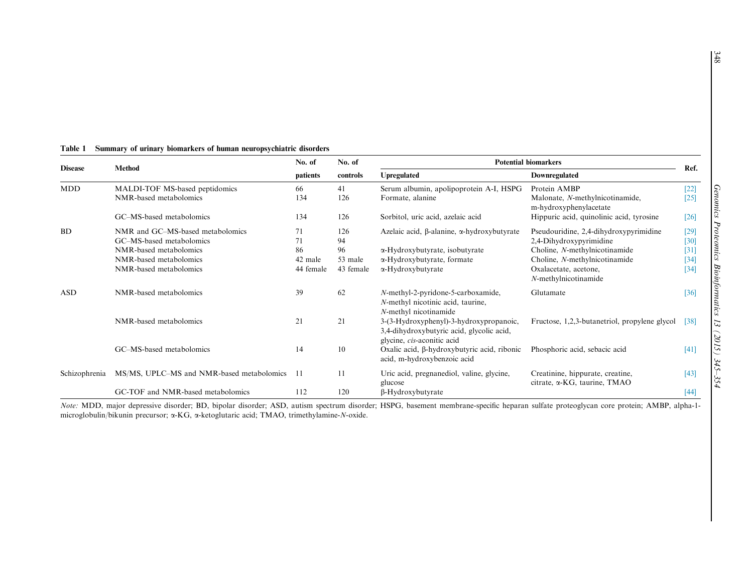|                | <b>Method</b>                                                | No. of    | No. of    | <b>Potential biomarkers</b>                                                                                        |                                                                   | Ref.             |
|----------------|--------------------------------------------------------------|-----------|-----------|--------------------------------------------------------------------------------------------------------------------|-------------------------------------------------------------------|------------------|
| <b>Disease</b> |                                                              | patients  | controls  | <b>Upregulated</b>                                                                                                 | Downregulated                                                     |                  |
| <b>MDD</b>     | MALDI-TOF MS-based peptidomics                               | 66        | 41        | Serum albumin, apolipoprotein A-I, HSPG                                                                            | Protein AMBP                                                      | $[22]$           |
|                | NMR-based metabolomics                                       | 134       | 126       | Formate, alanine                                                                                                   | Malonate, N-methylnicotinamide,<br>m-hydroxyphenylacetate         | $[25]$           |
|                | GC-MS-based metabolomics                                     | 134       | 126       | Sorbitol, uric acid, azelaic acid                                                                                  | Hippuric acid, quinolinic acid, tyrosine                          | $[26]$           |
| <b>BD</b>      | NMR and GC-MS-based metabolomics<br>GC-MS-based metabolomics | 71<br>71  | 126<br>94 | Azelaic acid, β-alanine, α-hydroxybutyrate                                                                         | Pseudouridine, 2,4-dihydroxypyrimidine<br>2,4-Dihydroxypyrimidine | $[29]$<br>$[30]$ |
|                | NMR-based metabolomics                                       | 86        | 96        | α-Hydroxybutyrate, isobutyrate                                                                                     | Choline, N-methylnicotinamide                                     | $[31]$           |
|                | NMR-based metabolomics                                       | 42 male   | 53 male   | $\alpha$ -Hydroxybutyrate, formate                                                                                 | Choline, N-methylnicotinamide                                     | $[34]$           |
|                | NMR-based metabolomics                                       | 44 female | 43 female | α-Hydroxybutyrate                                                                                                  | Oxalacetate, acetone,<br>N-methylnicotinamide                     | $[34]$           |
| <b>ASD</b>     | NMR-based metabolomics                                       | 39        | 62        | N-methyl-2-pyridone-5-carboxamide,<br>N-methyl nicotinic acid, taurine,<br>N-methyl nicotinamide                   | Glutamate                                                         | $[36]$           |
|                | NMR-based metabolomics                                       | 21        | 21        | 3-(3-Hydroxyphenyl)-3-hydroxypropanoic,<br>3,4-dihydroxybutyric acid, glycolic acid,<br>glycine, cis-aconitic acid | Fructose, 1,2,3-butanetriol, propylene glycol                     | [38]             |
|                | GC-MS-based metabolomics                                     | 14        | 10        | Oxalic acid, β-hydroxybutyric acid, ribonic<br>acid, m-hydroxybenzoic acid                                         | Phosphoric acid, sebacic acid                                     | [41]             |
| Schizophrenia  | MS/MS, UPLC–MS and NMR-based metabolomics                    | -11       | 11        | Uric acid, pregnanediol, valine, glycine,<br>glucose                                                               | Creatinine, hippurate, creatine,<br>citrate, α-KG, taurine, TMAO  | [43]             |
|                | GC-TOF and NMR-based metabolomics                            | 112       | 120       | $\beta$ -Hydroxybutyrate                                                                                           |                                                                   | [44]             |

#### <span id="page-3-0"></span>Table 1 Summary of urinary biomarkers of human neuropsychiatric disorders

Note: MDD, major depressive disorder; BD, bipolar disorder; ASD, autism spectrum disorder; HSPG, basement membrane-specific heparan sulfate proteoglycan core protein; AMBP, alpha-1microglobulin/bikunin precursor; <sup>a</sup>-KG, <sup>a</sup>-ketoglutaric acid; TMAO, trimethylamine-N-oxide.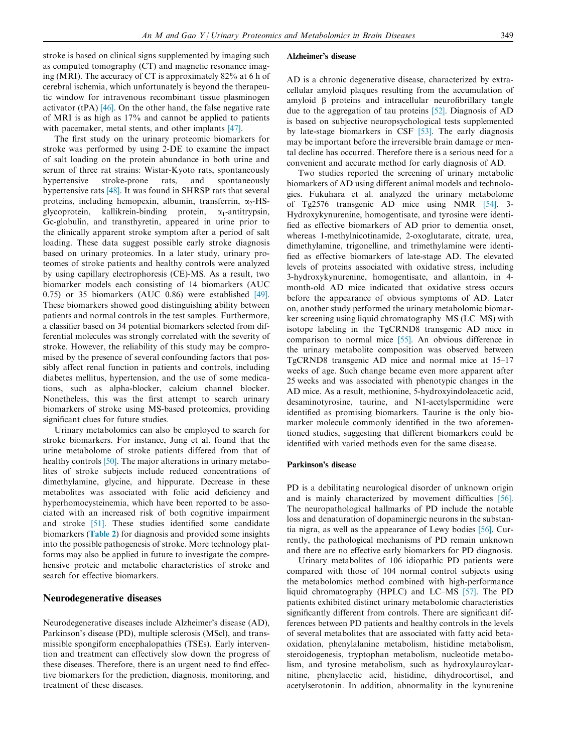stroke is based on clinical signs supplemented by imaging such as computed tomography (CT) and magnetic resonance imaging (MRI). The accuracy of CT is approximately 82% at 6 h of cerebral ischemia, which unfortunately is beyond the therapeutic window for intravenous recombinant tissue plasminogen activator (tPA)  $[46]$ . On the other hand, the false negative rate of MRI is as high as 17% and cannot be applied to patients with pacemaker, metal stents, and other implants [\[47\].](#page-8-0)

The first study on the urinary proteomic biomarkers for stroke was performed by using 2-DE to examine the impact of salt loading on the protein abundance in both urine and serum of three rat strains: Wistar-Kyoto rats, spontaneously hypertensive stroke-prone rats, and spontaneously hypertensive rats [\[48\]](#page-8-0). It was found in SHRSP rats that several proteins, including hemopexin, albumin, transferrin,  $\alpha$ <sup>2</sup>-HSglycoprotein, kallikrein-binding protein,  $\alpha_1$ -antitrypsin, Gc-globulin, and transthyretin, appeared in urine prior to the clinically apparent stroke symptom after a period of salt loading. These data suggest possible early stroke diagnosis based on urinary proteomics. In a later study, urinary proteomes of stroke patients and healthy controls were analyzed by using capillary electrophoresis (CE)-MS. As a result, two biomarker models each consisting of 14 biomarkers (AUC 0.75) or 35 biomarkers (AUC 0.86) were established [\[49\].](#page-8-0) These biomarkers showed good distinguishing ability between patients and normal controls in the test samples. Furthermore, a classifier based on 34 potential biomarkers selected from differential molecules was strongly correlated with the severity of stroke. However, the reliability of this study may be compromised by the presence of several confounding factors that possibly affect renal function in patients and controls, including diabetes mellitus, hypertension, and the use of some medications, such as alpha-blocker, calcium channel blocker. Nonetheless, this was the first attempt to search urinary biomarkers of stroke using MS-based proteomics, providing significant clues for future studies.

Urinary metabolomics can also be employed to search for stroke biomarkers. For instance, Jung et al. found that the urine metabolome of stroke patients differed from that of healthy controls [\[50\]](#page-8-0). The major alterations in urinary metabolites of stroke subjects include reduced concentrations of dimethylamine, glycine, and hippurate. Decrease in these metabolites was associated with folic acid deficiency and hyperhomocysteinemia, which have been reported to be associated with an increased risk of both cognitive impairment and stroke [\[51\].](#page-8-0) These studies identified some candidate biomarkers ([Table 2](#page-5-0)) for diagnosis and provided some insights into the possible pathogenesis of stroke. More technology platforms may also be applied in future to investigate the comprehensive proteic and metabolic characteristics of stroke and search for effective biomarkers.

# Neurodegenerative diseases

Neurodegenerative diseases include Alzheimer's disease (AD), Parkinson's disease (PD), multiple sclerosis (MScl), and transmissible spongiform encephalopathies (TSEs). Early intervention and treatment can effectively slow down the progress of these diseases. Therefore, there is an urgent need to find effective biomarkers for the prediction, diagnosis, monitoring, and treatment of these diseases.

#### Alzheimer's disease

AD is a chronic degenerative disease, characterized by extracellular amyloid plaques resulting from the accumulation of amyloid  $\beta$  proteins and intracellular neurofibrillary tangle due to the aggregation of tau proteins [\[52\]](#page-8-0). Diagnosis of AD is based on subjective neuropsychological tests supplemented by late-stage biomarkers in CSF [\[53\].](#page-8-0) The early diagnosis may be important before the irreversible brain damage or mental decline has occurred. Therefore there is a serious need for a convenient and accurate method for early diagnosis of AD.

Two studies reported the screening of urinary metabolic biomarkers of AD using different animal models and technologies. Fukuhara et al. analyzed the urinary metabolome of Tg2576 transgenic AD mice using NMR [\[54\].](#page-8-0) 3- Hydroxykynurenine, homogentisate, and tyrosine were identified as effective biomarkers of AD prior to dementia onset, whereas 1-methylnicotinamide, 2-oxoglutarate, citrate, urea, dimethylamine, trigonelline, and trimethylamine were identified as effective biomarkers of late-stage AD. The elevated levels of proteins associated with oxidative stress, including 3-hydroxykynurenine, homogentisate, and allantoin, in 4 month-old AD mice indicated that oxidative stress occurs before the appearance of obvious symptoms of AD. Later on, another study performed the urinary metabolomic biomarker screening using liquid chromatography–MS (LC–MS) with isotope labeling in the TgCRND8 transgenic AD mice in comparison to normal mice [\[55\]](#page-8-0). An obvious difference in the urinary metabolite composition was observed between TgCRND8 transgenic AD mice and normal mice at 15–17 weeks of age. Such change became even more apparent after 25 weeks and was associated with phenotypic changes in the AD mice. As a result, methionine, 5-hydroxyindoleacetic acid, desaminotyrosine, taurine, and N1-acetylspermidine were identified as promising biomarkers. Taurine is the only biomarker molecule commonly identified in the two aforementioned studies, suggesting that different biomarkers could be identified with varied methods even for the same disease.

#### Parkinson's disease

PD is a debilitating neurological disorder of unknown origin and is mainly characterized by movement difficulties [\[56\]](#page-8-0). The neuropathological hallmarks of PD include the notable loss and denaturation of dopaminergic neurons in the substantia nigra, as well as the appearance of Lewy bodies [\[56\]](#page-8-0). Currently, the pathological mechanisms of PD remain unknown and there are no effective early biomarkers for PD diagnosis.

Urinary metabolites of 106 idiopathic PD patients were compared with those of 104 normal control subjects using the metabolomics method combined with high-performance liquid chromatography (HPLC) and LC–MS [\[57\]](#page-8-0). The PD patients exhibited distinct urinary metabolomic characteristics significantly different from controls. There are significant differences between PD patients and healthy controls in the levels of several metabolites that are associated with fatty acid betaoxidation, phenylalanine metabolism, histidine metabolism, steroidogenesis, tryptophan metabolism, nucleotide metabolism, and tyrosine metabolism, such as hydroxylauroylcarnitine, phenylacetic acid, histidine, dihydrocortisol, and acetylserotonin. In addition, abnormality in the kynurenine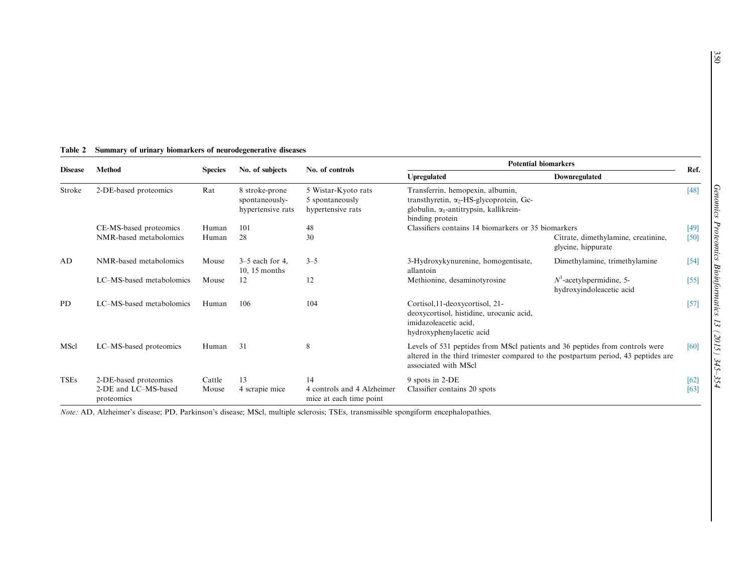| <b>Disease</b> | <b>Method</b>                                               | <b>Species</b><br>No. of subjects                                         |                                                       | No. of controls                                             | <b>Potential biomarkers</b>                                                                                                                                                               |                                                           |              |
|----------------|-------------------------------------------------------------|---------------------------------------------------------------------------|-------------------------------------------------------|-------------------------------------------------------------|-------------------------------------------------------------------------------------------------------------------------------------------------------------------------------------------|-----------------------------------------------------------|--------------|
|                |                                                             |                                                                           |                                                       |                                                             | Upregulated                                                                                                                                                                               | Downregulated                                             | Ref.         |
| Stroke         | 2-DE-based proteomics                                       | Rat                                                                       | 8 stroke-prone<br>spontaneously-<br>hypertensive rats | 5 Wistar-Kyoto rats<br>5 spontaneously<br>hypertensive rats | Transferrin, hemopexin, albumin,<br>transthyretin, $\alpha_2$ -HS-glycoprotein, Gc-<br>globulin, $\alpha_1$ -antitrypsin, kallikrein-<br>binding protein                                  |                                                           | $[48]$       |
|                | CE-MS-based proteomics                                      | Classifiers contains 14 biomarkers or 35 biomarkers<br>101<br>48<br>Human |                                                       |                                                             | [49]                                                                                                                                                                                      |                                                           |              |
|                | NMR-based metabolomics                                      | Human                                                                     | 28                                                    | 30                                                          |                                                                                                                                                                                           | Citrate, dimethylamine, creatinine,<br>glycine, hippurate | [50]         |
| AD             | NMR-based metabolomics                                      | Mouse                                                                     | $3-5$ each for 4,<br>$10, 15$ months                  | $3 - 5$                                                     | 3-Hydroxykynurenine, homogentisate,<br>allantoin                                                                                                                                          | Dimethylamine, trimethylamine                             | $[54]$       |
|                | LC-MS-based metabolomics                                    | Mouse                                                                     | 12                                                    | 12                                                          | Methionine, desaminotyrosine                                                                                                                                                              | $N1$ -acetylspermidine, 5-<br>hydroxyindoleacetic acid    | [55]         |
| <b>PD</b>      | LC-MS-based metabolomics                                    | Human                                                                     | 106                                                   | 104                                                         | Cortisol, 11-deoxycortisol, 21-<br>deoxycortisol, histidine, urocanic acid,<br>imidazoleacetic acid,<br>hydroxyphenylacetic acid                                                          |                                                           | $[57]$       |
| MScl           | LC-MS-based proteomics                                      | Human                                                                     | 31                                                    | 8                                                           | Levels of 531 peptides from MScI patients and 36 peptides from controls were<br>altered in the third trimester compared to the postpartum period, 43 peptides are<br>associated with MScl |                                                           | [60]         |
| <b>TSEs</b>    | 2-DE-based proteomics<br>2-DE and LC-MS-based<br>proteomics | Cattle<br>Mouse                                                           | 13<br>4 scrapie mice                                  | 14<br>4 controls and 4 Alzheimer<br>mice at each time point | 9 spots in 2-DE<br>Classifier contains 20 spots                                                                                                                                           |                                                           | [62]<br>[63] |

# <span id="page-5-0"></span>Table 2 Summary of urinary biomarkers of neurodegenerative diseases

Note: AD, Alzheimer's disease; PD, Parkinson's disease; MScl, multiple sclerosis; TSEs, transmissible spongiform encephalopathies.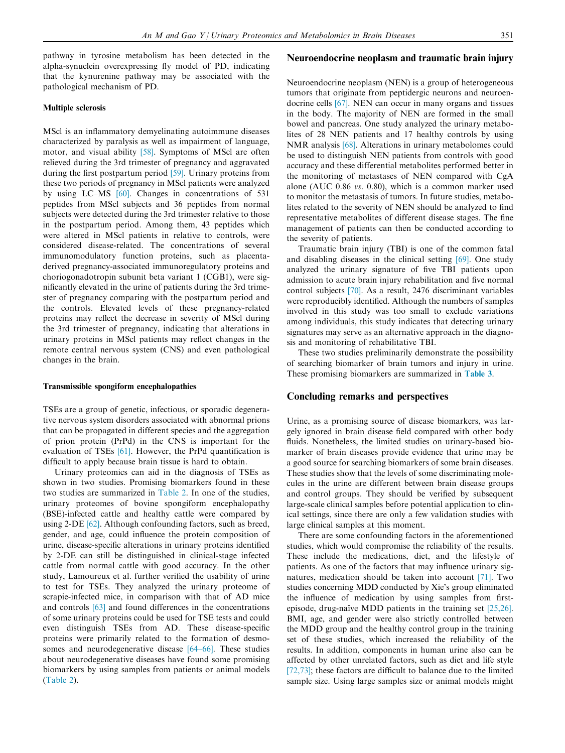pathway in tyrosine metabolism has been detected in the alpha-synuclein overexpressing fly model of PD, indicating that the kynurenine pathway may be associated with the pathological mechanism of PD.

# Multiple sclerosis

MScl is an inflammatory demyelinating autoimmune diseases characterized by paralysis as well as impairment of language, motor, and visual ability [\[58\].](#page-8-0) Symptoms of MScl are often relieved during the 3rd trimester of pregnancy and aggravated during the first postpartum period [\[59\].](#page-8-0) Urinary proteins from these two periods of pregnancy in MScl patients were analyzed by using LC–MS [\[60\]](#page-9-0). Changes in concentrations of 531 peptides from MScl subjects and 36 peptides from normal subjects were detected during the 3rd trimester relative to those in the postpartum period. Among them, 43 peptides which were altered in MScl patients in relative to controls, were considered disease-related. The concentrations of several immunomodulatory function proteins, such as placentaderived pregnancy-associated immunoregulatory proteins and choriogonadotropin subunit beta variant 1 (CGB1), were significantly elevated in the urine of patients during the 3rd trimester of pregnancy comparing with the postpartum period and the controls. Elevated levels of these pregnancy-related proteins may reflect the decrease in severity of MScl during the 3rd trimester of pregnancy, indicating that alterations in urinary proteins in MScl patients may reflect changes in the remote central nervous system (CNS) and even pathological changes in the brain.

#### Transmissible spongiform encephalopathies

TSEs are a group of genetic, infectious, or sporadic degenerative nervous system disorders associated with abnormal prions that can be propagated in different species and the aggregation of prion protein (PrPd) in the CNS is important for the evaluation of TSEs [\[61\].](#page-9-0) However, the PrPd quantification is difficult to apply because brain tissue is hard to obtain.

Urinary proteomics can aid in the diagnosis of TSEs as shown in two studies. Promising biomarkers found in these two studies are summarized in [Table 2](#page-5-0). In one of the studies, urinary proteomes of bovine spongiform encephalopathy (BSE)-infected cattle and healthy cattle were compared by using 2-DE [\[62\]](#page-9-0). Although confounding factors, such as breed, gender, and age, could influence the protein composition of urine, disease-specific alterations in urinary proteins identified by 2-DE can still be distinguished in clinical-stage infected cattle from normal cattle with good accuracy. In the other study, Lamoureux et al. further verified the usability of urine to test for TSEs. They analyzed the urinary proteome of scrapie-infected mice, in comparison with that of AD mice and controls [\[63\]](#page-9-0) and found differences in the concentrations of some urinary proteins could be used for TSE tests and could even distinguish TSEs from AD. These disease-specific proteins were primarily related to the formation of desmosomes and neurodegenerative disease [\[64–66\].](#page-9-0) These studies about neurodegenerative diseases have found some promising biomarkers by using samples from patients or animal models [\(Table 2\)](#page-5-0).

# Neuroendocrine neoplasm and traumatic brain injury

Neuroendocrine neoplasm (NEN) is a group of heterogeneous tumors that originate from peptidergic neurons and neuroendocrine cells [\[67\].](#page-9-0) NEN can occur in many organs and tissues in the body. The majority of NEN are formed in the small bowel and pancreas. One study analyzed the urinary metabolites of 28 NEN patients and 17 healthy controls by using NMR analysis [\[68\].](#page-9-0) Alterations in urinary metabolomes could be used to distinguish NEN patients from controls with good accuracy and these differential metabolites performed better in the monitoring of metastases of NEN compared with CgA alone (AUC 0.86 vs. 0.80), which is a common marker used to monitor the metastasis of tumors. In future studies, metabolites related to the severity of NEN should be analyzed to find representative metabolites of different disease stages. The fine management of patients can then be conducted according to the severity of patients.

Traumatic brain injury (TBI) is one of the common fatal and disabling diseases in the clinical setting [\[69\]](#page-9-0). One study analyzed the urinary signature of five TBI patients upon admission to acute brain injury rehabilitation and five normal control subjects [\[70\].](#page-9-0) As a result, 2476 discriminant variables were reproducibly identified. Although the numbers of samples involved in this study was too small to exclude variations among individuals, this study indicates that detecting urinary signatures may serve as an alternative approach in the diagnosis and monitoring of rehabilitative TBI.

These two studies preliminarily demonstrate the possibility of searching biomarker of brain tumors and injury in urine. These promising biomarkers are summarized in [Table 3](#page-7-0).

# Concluding remarks and perspectives

Urine, as a promising source of disease biomarkers, was largely ignored in brain disease field compared with other body fluids. Nonetheless, the limited studies on urinary-based biomarker of brain diseases provide evidence that urine may be a good source for searching biomarkers of some brain diseases. These studies show that the levels of some discriminating molecules in the urine are different between brain disease groups and control groups. They should be verified by subsequent large-scale clinical samples before potential application to clinical settings, since there are only a few validation studies with large clinical samples at this moment.

There are some confounding factors in the aforementioned studies, which would compromise the reliability of the results. These include the medications, diet, and the lifestyle of patients. As one of the factors that may influence urinary signatures, medication should be taken into account [\[71\].](#page-9-0) Two studies concerning MDD conducted by Xie's group eliminated the influence of medication by using samples from firstepisode, drug-naïve MDD patients in the training set  $[25,26]$ . BMI, age, and gender were also strictly controlled between the MDD group and the healthy control group in the training set of these studies, which increased the reliability of the results. In addition, components in human urine also can be affected by other unrelated factors, such as diet and life style [\[72,73\];](#page-9-0) these factors are difficult to balance due to the limited sample size. Using large samples size or animal models might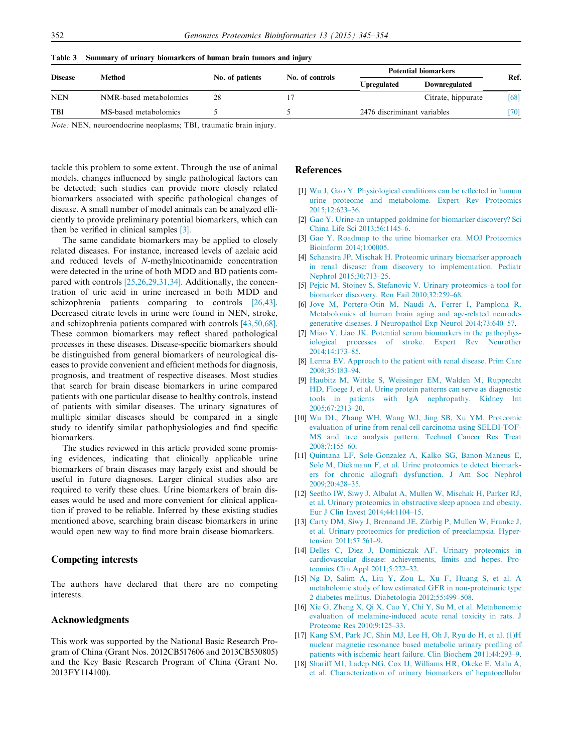| <b>Disease</b> | Method                 | No. of patients | No. of controls | <b>Potential biomarkers</b> |                    | Ref.   |
|----------------|------------------------|-----------------|-----------------|-----------------------------|--------------------|--------|
|                |                        |                 |                 | <b>Upregulated</b>          | Downregulated      |        |
| <b>NEN</b>     | NMR-based metabolomics | 28              |                 |                             | Citrate, hippurate | [68]   |
| <b>TBI</b>     | MS-based metabolomics  |                 |                 | 2476 discriminant variables |                    | $[70]$ |
|                |                        |                 |                 |                             |                    |        |

<span id="page-7-0"></span>Table 3 Summary of urinary biomarkers of human brain tumors and injury

Note: NEN, neuroendocrine neoplasms; TBI, traumatic brain injury.

tackle this problem to some extent. Through the use of animal models, changes influenced by single pathological factors can be detected; such studies can provide more closely related biomarkers associated with specific pathological changes of disease. A small number of model animals can be analyzed efficiently to provide preliminary potential biomarkers, which can then be verified in clinical samples [3].

The same candidate biomarkers may be applied to closely related diseases. For instance, increased levels of azelaic acid and reduced levels of N-methylnicotinamide concentration were detected in the urine of both MDD and BD patients compared with controls [\[25,26,29,31,34\].](#page-8-0) Additionally, the concentration of uric acid in urine increased in both MDD and schizophrenia patients comparing to controls [\[26,43\]](#page-8-0). Decreased citrate levels in urine were found in NEN, stroke, and schizophrenia patients compared with controls [\[43,50,68\]](#page-8-0). These common biomarkers may reflect shared pathological processes in these diseases. Disease-specific biomarkers should be distinguished from general biomarkers of neurological diseases to provide convenient and efficient methods for diagnosis, prognosis, and treatment of respective diseases. Most studies that search for brain disease biomarkers in urine compared patients with one particular disease to healthy controls, instead of patients with similar diseases. The urinary signatures of multiple similar diseases should be compared in a single study to identify similar pathophysiologies and find specific biomarkers.

The studies reviewed in this article provided some promising evidences, indicating that clinically applicable urine biomarkers of brain diseases may largely exist and should be useful in future diagnoses. Larger clinical studies also are required to verify these clues. Urine biomarkers of brain diseases would be used and more convenient for clinical application if proved to be reliable. Inferred by these existing studies mentioned above, searching brain disease biomarkers in urine would open new way to find more brain disease biomarkers.

# Competing interests

The authors have declared that there are no competing interests.

# Acknowledgments

This work was supported by the National Basic Research Program of China (Grant Nos. 2012CB517606 and 2013CB530805) and the Key Basic Research Program of China (Grant No. 2013FY114100).

#### References

- [1] [Wu J, Gao Y. Physiological conditions can be reflected in human](http://refhub.elsevier.com/S1672-0229(15)00170-9/h0005) [urine proteome and metabolome. Expert Rev Proteomics](http://refhub.elsevier.com/S1672-0229(15)00170-9/h0005) [2015;12:623–36](http://refhub.elsevier.com/S1672-0229(15)00170-9/h0005).
- [2] [Gao Y. Urine-an untapped goldmine for biomarker discovery? Sci](http://refhub.elsevier.com/S1672-0229(15)00170-9/h0010) [China Life Sci 2013;56:1145–6.](http://refhub.elsevier.com/S1672-0229(15)00170-9/h0010)
- [3] [Gao Y. Roadmap to the urine biomarker era. MOJ Proteomics](http://refhub.elsevier.com/S1672-0229(15)00170-9/h0015) [Bioinform 2014;1:00005](http://refhub.elsevier.com/S1672-0229(15)00170-9/h0015).
- [4] [Schanstra JP, Mischak H. Proteomic urinary biomarker approach](http://refhub.elsevier.com/S1672-0229(15)00170-9/h0020) [in renal disease: from discovery to implementation. Pediatr](http://refhub.elsevier.com/S1672-0229(15)00170-9/h0020) [Nephrol 2015;30:713–25](http://refhub.elsevier.com/S1672-0229(15)00170-9/h0020).
- [5] [Pejcic M, Stojnev S, Stefanovic V. Urinary proteomics–a tool for](http://refhub.elsevier.com/S1672-0229(15)00170-9/h0025) [biomarker discovery. Ren Fail 2010;32:259–68](http://refhub.elsevier.com/S1672-0229(15)00170-9/h0025).
- [6] [Jove M, Portero-Otin M, Naudi A, Ferrer I, Pamplona R.](http://refhub.elsevier.com/S1672-0229(15)00170-9/h0030) [Metabolomics of human brain aging and age-related neurode](http://refhub.elsevier.com/S1672-0229(15)00170-9/h0030)[generative diseases. J Neuropathol Exp Neurol 2014;73:640–57.](http://refhub.elsevier.com/S1672-0229(15)00170-9/h0030)
- [7] [Miao Y, Liao JK. Potential serum biomarkers in the pathophys](http://refhub.elsevier.com/S1672-0229(15)00170-9/h0035)[iological processes of stroke. Expert Rev Neurother](http://refhub.elsevier.com/S1672-0229(15)00170-9/h0035) [2014;14:173–85](http://refhub.elsevier.com/S1672-0229(15)00170-9/h0035).
- [8] [Lerma EV. Approach to the patient with renal disease. Prim Care](http://refhub.elsevier.com/S1672-0229(15)00170-9/h0040) [2008;35:183–94](http://refhub.elsevier.com/S1672-0229(15)00170-9/h0040).
- [9] [Haubitz M, Wittke S, Weissinger EM, Walden M, Rupprecht](http://refhub.elsevier.com/S1672-0229(15)00170-9/h0045) [HD, Floege J, et al. Urine protein patterns can serve as diagnostic](http://refhub.elsevier.com/S1672-0229(15)00170-9/h0045) [tools in patients with IgA nephropathy. Kidney Int](http://refhub.elsevier.com/S1672-0229(15)00170-9/h0045) [2005;67:2313–20](http://refhub.elsevier.com/S1672-0229(15)00170-9/h0045).
- [10] [Wu DL, Zhang WH, Wang WJ, Jing SB, Xu YM. Proteomic](http://refhub.elsevier.com/S1672-0229(15)00170-9/h0050) [evaluation of urine from renal cell carcinoma using SELDI-TOF-](http://refhub.elsevier.com/S1672-0229(15)00170-9/h0050)[MS and tree analysis pattern. Technol Cancer Res Treat](http://refhub.elsevier.com/S1672-0229(15)00170-9/h0050) [2008;7:155–60](http://refhub.elsevier.com/S1672-0229(15)00170-9/h0050).
- [11] [Quintana LF, Sole-Gonzalez A, Kalko SG, Banon-Maneus E,](http://refhub.elsevier.com/S1672-0229(15)00170-9/h0055) [Sole M, Diekmann F, et al. Urine proteomics to detect biomark](http://refhub.elsevier.com/S1672-0229(15)00170-9/h0055)[ers for chronic allograft dysfunction. J Am Soc Nephrol](http://refhub.elsevier.com/S1672-0229(15)00170-9/h0055) [2009;20:428–35](http://refhub.elsevier.com/S1672-0229(15)00170-9/h0055).
- [12] [Seetho IW, Siwy J, Albalat A, Mullen W, Mischak H, Parker RJ,](http://refhub.elsevier.com/S1672-0229(15)00170-9/h0060) [et al. Urinary proteomics in obstructive sleep apnoea and obesity.](http://refhub.elsevier.com/S1672-0229(15)00170-9/h0060) [Eur J Clin Invest 2014;44:1104–15](http://refhub.elsevier.com/S1672-0229(15)00170-9/h0060).
- [13] Carty DM, Siwy J, Brennand JE, Zürbig P, Mullen W, Franke J, [et al. Urinary proteomics for prediction of preeclampsia. Hyper](http://refhub.elsevier.com/S1672-0229(15)00170-9/h0065)[tension 2011;57:561–9.](http://refhub.elsevier.com/S1672-0229(15)00170-9/h0065)
- [14] [Delles C, Diez J, Dominiczak AF. Urinary proteomics in](http://refhub.elsevier.com/S1672-0229(15)00170-9/h0070) [cardiovascular disease: achievements, limits and hopes. Pro](http://refhub.elsevier.com/S1672-0229(15)00170-9/h0070)[teomics Clin Appl 2011;5:222–32.](http://refhub.elsevier.com/S1672-0229(15)00170-9/h0070)
- [15] [Ng D, Salim A, Liu Y, Zou L, Xu F, Huang S, et al. A](http://refhub.elsevier.com/S1672-0229(15)00170-9/h0075) [metabolomic study of low estimated GFR in non-proteinuric type](http://refhub.elsevier.com/S1672-0229(15)00170-9/h0075) [2 diabetes mellitus. Diabetologia 2012;55:499–508](http://refhub.elsevier.com/S1672-0229(15)00170-9/h0075).
- [16] [Xie G, Zheng X, Qi X, Cao Y, Chi Y, Su M, et al. Metabonomic](http://refhub.elsevier.com/S1672-0229(15)00170-9/h0080) [evaluation of melamine-induced acute renal toxicity in rats. J](http://refhub.elsevier.com/S1672-0229(15)00170-9/h0080) [Proteome Res 2010;9:125–33](http://refhub.elsevier.com/S1672-0229(15)00170-9/h0080).
- [17] [Kang SM, Park JC, Shin MJ, Lee H, Oh J, Ryu do H, et al. \(1\)H](http://refhub.elsevier.com/S1672-0229(15)00170-9/h0085) [nuclear magnetic resonance based metabolic urinary profiling of](http://refhub.elsevier.com/S1672-0229(15)00170-9/h0085) [patients with ischemic heart failure. Clin Biochem 2011;44:293–9.](http://refhub.elsevier.com/S1672-0229(15)00170-9/h0085)
- [18] [Shariff MI, Ladep NG, Cox IJ, Williams HR, Okeke E, Malu A,](http://refhub.elsevier.com/S1672-0229(15)00170-9/h0090) [et al. Characterization of urinary biomarkers of hepatocellular](http://refhub.elsevier.com/S1672-0229(15)00170-9/h0090)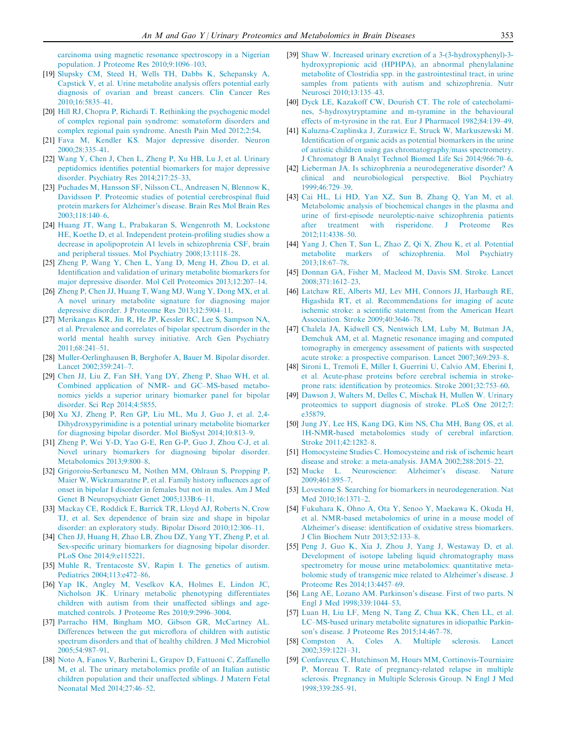<span id="page-8-0"></span>[carcinoma using magnetic resonance spectroscopy in a Nigerian](http://refhub.elsevier.com/S1672-0229(15)00170-9/h0090) [population. J Proteome Res 2010;9:1096–103.](http://refhub.elsevier.com/S1672-0229(15)00170-9/h0090)

- [19] [Slupsky CM, Steed H, Wells TH, Dabbs K, Schepansky A,](http://refhub.elsevier.com/S1672-0229(15)00170-9/h0095) [Capstick V, et al. Urine metabolite analysis offers potential early](http://refhub.elsevier.com/S1672-0229(15)00170-9/h0095) [diagnosis of ovarian and breast cancers. Clin Cancer Res](http://refhub.elsevier.com/S1672-0229(15)00170-9/h0095) [2010;16:5835–41.](http://refhub.elsevier.com/S1672-0229(15)00170-9/h0095)
- [20] [Hill RJ, Chopra P, Richardi T. Rethinking the psychogenic model](http://refhub.elsevier.com/S1672-0229(15)00170-9/h0100) [of complex regional pain syndrome: somatoform disorders and](http://refhub.elsevier.com/S1672-0229(15)00170-9/h0100) [complex regional pain syndrome. Anesth Pain Med 2012;2:54](http://refhub.elsevier.com/S1672-0229(15)00170-9/h0100).
- [21] [Fava M, Kendler KS. Major depressive disorder. Neuron](http://refhub.elsevier.com/S1672-0229(15)00170-9/h0105) [2000;28:335–41.](http://refhub.elsevier.com/S1672-0229(15)00170-9/h0105)
- [22] [Wang Y, Chen J, Chen L, Zheng P, Xu HB, Lu J, et al. Urinary](http://refhub.elsevier.com/S1672-0229(15)00170-9/h0110) [peptidomics identifies potential biomarkers for major depressive](http://refhub.elsevier.com/S1672-0229(15)00170-9/h0110) [disorder. Psychiatry Res 2014;217:25–33](http://refhub.elsevier.com/S1672-0229(15)00170-9/h0110).
- [23] [Puchades M, Hansson SF, Nilsson CL, Andreasen N, Blennow K,](http://refhub.elsevier.com/S1672-0229(15)00170-9/h0115) [Davidsson P. Proteomic studies of potential cerebrospinal fluid](http://refhub.elsevier.com/S1672-0229(15)00170-9/h0115) [protein markers for Alzheimer's disease. Brain Res Mol Brain Res](http://refhub.elsevier.com/S1672-0229(15)00170-9/h0115) [2003;118:140–6.](http://refhub.elsevier.com/S1672-0229(15)00170-9/h0115)
- [24] [Huang JT, Wang L, Prabakaran S, Wengenroth M, Lockstone](http://refhub.elsevier.com/S1672-0229(15)00170-9/h0120) [HE, Koethe D, et al. Independent protein-profiling studies show a](http://refhub.elsevier.com/S1672-0229(15)00170-9/h0120) [decrease in apolipoprotein A1 levels in schizophrenia CSF, brain](http://refhub.elsevier.com/S1672-0229(15)00170-9/h0120) [and peripheral tissues. Mol Psychiatry 2008;13:1118–28](http://refhub.elsevier.com/S1672-0229(15)00170-9/h0120).
- [25] [Zheng P, Wang Y, Chen L, Yang D, Meng H, Zhou D, et al.](http://refhub.elsevier.com/S1672-0229(15)00170-9/h0125) [Identification and validation of urinary metabolite biomarkers for](http://refhub.elsevier.com/S1672-0229(15)00170-9/h0125) [major depressive disorder. Mol Cell Proteomics 2013;12:207–14.](http://refhub.elsevier.com/S1672-0229(15)00170-9/h0125)
- [26] [Zheng P, Chen JJ, Huang T, Wang MJ, Wang Y, Dong MX, et al.](http://refhub.elsevier.com/S1672-0229(15)00170-9/h0130) [A novel urinary metabolite signature for diagnosing major](http://refhub.elsevier.com/S1672-0229(15)00170-9/h0130) [depressive disorder. J Proteome Res 2013;12:5904–11.](http://refhub.elsevier.com/S1672-0229(15)00170-9/h0130)
- [27] [Merikangas KR, Jin R, He JP, Kessler RC, Lee S, Sampson NA,](http://refhub.elsevier.com/S1672-0229(15)00170-9/h0135) [et al. Prevalence and correlates of bipolar spectrum disorder in the](http://refhub.elsevier.com/S1672-0229(15)00170-9/h0135) [world mental health survey initiative. Arch Gen Psychiatry](http://refhub.elsevier.com/S1672-0229(15)00170-9/h0135) [2011;68:241–51.](http://refhub.elsevier.com/S1672-0229(15)00170-9/h0135)
- [28] [Muller-Oerlinghausen B, Berghofer A, Bauer M. Bipolar disorder.](http://refhub.elsevier.com/S1672-0229(15)00170-9/h0140) [Lancet 2002;359:241–7.](http://refhub.elsevier.com/S1672-0229(15)00170-9/h0140)
- [29] [Chen JJ, Liu Z, Fan SH, Yang DY, Zheng P, Shao WH, et al.](http://refhub.elsevier.com/S1672-0229(15)00170-9/h0145) [Combined application of NMR- and GC–MS-based metabo](http://refhub.elsevier.com/S1672-0229(15)00170-9/h0145)[nomics yields a superior urinary biomarker panel for bipolar](http://refhub.elsevier.com/S1672-0229(15)00170-9/h0145) [disorder. Sci Rep 2014;4:5855](http://refhub.elsevier.com/S1672-0229(15)00170-9/h0145).
- [30] [Xu XJ, Zheng P, Ren GP, Liu ML, Mu J, Guo J, et al. 2,4-](http://refhub.elsevier.com/S1672-0229(15)00170-9/h0150) [Dihydroxypyrimidine is a potential urinary metabolite biomarker](http://refhub.elsevier.com/S1672-0229(15)00170-9/h0150) [for diagnosing bipolar disorder. Mol BioSyst 2014;10:813–9.](http://refhub.elsevier.com/S1672-0229(15)00170-9/h0150)
- [31] [Zheng P, Wei Y-D, Yao G-E, Ren G-P, Guo J, Zhou C-J, et al.](http://refhub.elsevier.com/S1672-0229(15)00170-9/h0155) [Novel urinary biomarkers for diagnosing bipolar disorder.](http://refhub.elsevier.com/S1672-0229(15)00170-9/h0155) [Metabolomics 2013;9:800–8](http://refhub.elsevier.com/S1672-0229(15)00170-9/h0155).
- [32] [Grigoroiu-Serbanescu M, Nothen MM, Ohlraun S, Propping P,](http://refhub.elsevier.com/S1672-0229(15)00170-9/h0160) [Maier W, Wickramaratne P, et al. Family history influences age of](http://refhub.elsevier.com/S1672-0229(15)00170-9/h0160) [onset in bipolar I disorder in females but not in males. Am J Med](http://refhub.elsevier.com/S1672-0229(15)00170-9/h0160) [Genet B Neuropsychiatr Genet 2005;133B:6–11](http://refhub.elsevier.com/S1672-0229(15)00170-9/h0160).
- [33] [Mackay CE, Roddick E, Barrick TR, Lloyd AJ, Roberts N, Crow](http://refhub.elsevier.com/S1672-0229(15)00170-9/h0165) [TJ, et al. Sex dependence of brain size and shape in bipolar](http://refhub.elsevier.com/S1672-0229(15)00170-9/h0165) [disorder: an exploratory study. Bipolar Disord 2010;12:306–11](http://refhub.elsevier.com/S1672-0229(15)00170-9/h0165).
- [34] [Chen JJ, Huang H, Zhao LB, Zhou DZ, Yang YT, Zheng P, et al.](http://refhub.elsevier.com/S1672-0229(15)00170-9/h0170) [Sex-specific urinary biomarkers for diagnosing bipolar disorder.](http://refhub.elsevier.com/S1672-0229(15)00170-9/h0170) [PLoS One 2014;9:e115221.](http://refhub.elsevier.com/S1672-0229(15)00170-9/h0170)
- [35] [Muhle R, Trentacoste SV, Rapin I. The genetics of autism.](http://refhub.elsevier.com/S1672-0229(15)00170-9/h0175) [Pediatrics 2004;113:e472–86](http://refhub.elsevier.com/S1672-0229(15)00170-9/h0175).
- [36] [Yap IK, Angley M, Veselkov KA, Holmes E, Lindon JC,](http://refhub.elsevier.com/S1672-0229(15)00170-9/h0180) [Nicholson JK. Urinary metabolic phenotyping differentiates](http://refhub.elsevier.com/S1672-0229(15)00170-9/h0180) [children with autism from their unaffected siblings and age](http://refhub.elsevier.com/S1672-0229(15)00170-9/h0180)[matched controls. J Proteome Res 2010;9:2996–3004.](http://refhub.elsevier.com/S1672-0229(15)00170-9/h0180)
- [37] [Parracho HM, Bingham MO, Gibson GR, McCartney AL.](http://refhub.elsevier.com/S1672-0229(15)00170-9/h0185) [Differences between the gut microflora of children with autistic](http://refhub.elsevier.com/S1672-0229(15)00170-9/h0185) [spectrum disorders and that of healthy children. J Med Microbiol](http://refhub.elsevier.com/S1672-0229(15)00170-9/h0185) [2005;54:987–91.](http://refhub.elsevier.com/S1672-0229(15)00170-9/h0185)
- [38] [Noto A, Fanos V, Barberini L, Grapov D, Fattuoni C, Zaffanello](http://refhub.elsevier.com/S1672-0229(15)00170-9/h0190) [M, et al. The urinary metabolomics profile of an Italian autistic](http://refhub.elsevier.com/S1672-0229(15)00170-9/h0190) [children population and their unaffected siblings. J Matern Fetal](http://refhub.elsevier.com/S1672-0229(15)00170-9/h0190) [Neonatal Med 2014;27:46–52.](http://refhub.elsevier.com/S1672-0229(15)00170-9/h0190)
- [39] [Shaw W. Increased urinary excretion of a 3-\(3-hydroxyphenyl\)-3](http://refhub.elsevier.com/S1672-0229(15)00170-9/h0195) [hydroxypropionic acid \(HPHPA\), an abnormal phenylalanine](http://refhub.elsevier.com/S1672-0229(15)00170-9/h0195) [metabolite of Clostridia spp. in the gastrointestinal tract, in urine](http://refhub.elsevier.com/S1672-0229(15)00170-9/h0195) [samples from patients with autism and schizophrenia. Nutr](http://refhub.elsevier.com/S1672-0229(15)00170-9/h0195) [Neurosci 2010;13:135–43](http://refhub.elsevier.com/S1672-0229(15)00170-9/h0195).
- [40] [Dyck LE, Kazakoff CW, Dourish CT. The role of catecholami](http://refhub.elsevier.com/S1672-0229(15)00170-9/h0200)[nes, 5-hydroxytryptamine and m-tyramine in the behavioural](http://refhub.elsevier.com/S1672-0229(15)00170-9/h0200) [effects of m-tyrosine in the rat. Eur J Pharmacol 1982;84:139–49](http://refhub.elsevier.com/S1672-0229(15)00170-9/h0200).
- [41] [Kaluzna-Czaplinska J, Zurawicz E, Struck W, Markuszewski M.](http://refhub.elsevier.com/S1672-0229(15)00170-9/h0205) [Identification of organic acids as potential biomarkers in the urine](http://refhub.elsevier.com/S1672-0229(15)00170-9/h0205) [of autistic children using gas chromatography/mass spectrometry.](http://refhub.elsevier.com/S1672-0229(15)00170-9/h0205) [J Chromatogr B Analyt Technol Biomed Life Sci 2014;966:70–6.](http://refhub.elsevier.com/S1672-0229(15)00170-9/h0205)
- [42] [Lieberman JA. Is schizophrenia a neurodegenerative disorder? A](http://refhub.elsevier.com/S1672-0229(15)00170-9/h0210) [clinical and neurobiological perspective. Biol Psychiatry](http://refhub.elsevier.com/S1672-0229(15)00170-9/h0210) [1999;46:729–39.](http://refhub.elsevier.com/S1672-0229(15)00170-9/h0210)
- [43] [Cai HL, Li HD, Yan XZ, Sun B, Zhang Q, Yan M, et al.](http://refhub.elsevier.com/S1672-0229(15)00170-9/h0215) [Metabolomic analysis of biochemical changes in the plasma and](http://refhub.elsevier.com/S1672-0229(15)00170-9/h0215) [urine of first-episode neuroleptic-naive schizophrenia patients](http://refhub.elsevier.com/S1672-0229(15)00170-9/h0215) [after treatment with risperidone. J Proteome Res](http://refhub.elsevier.com/S1672-0229(15)00170-9/h0215) [2012;11:4338–50.](http://refhub.elsevier.com/S1672-0229(15)00170-9/h0215)
- [44] [Yang J, Chen T, Sun L, Zhao Z, Qi X, Zhou K, et al. Potential](http://refhub.elsevier.com/S1672-0229(15)00170-9/h0220) [metabolite markers of schizophrenia. Mol Psychiatry](http://refhub.elsevier.com/S1672-0229(15)00170-9/h0220) [2013;18:67–78](http://refhub.elsevier.com/S1672-0229(15)00170-9/h0220).
- [45] [Donnan GA, Fisher M, Macleod M, Davis SM. Stroke. Lancet](http://refhub.elsevier.com/S1672-0229(15)00170-9/h0225) [2008;371:1612–23.](http://refhub.elsevier.com/S1672-0229(15)00170-9/h0225)
- [46] [Latchaw RE, Alberts MJ, Lev MH, Connors JJ, Harbaugh RE,](http://refhub.elsevier.com/S1672-0229(15)00170-9/h0230) [Higashida RT, et al. Recommendations for imaging of acute](http://refhub.elsevier.com/S1672-0229(15)00170-9/h0230) [ischemic stroke: a scientific statement from the American Heart](http://refhub.elsevier.com/S1672-0229(15)00170-9/h0230) [Association. Stroke 2009;40:3646–78.](http://refhub.elsevier.com/S1672-0229(15)00170-9/h0230)
- [47] [Chalela JA, Kidwell CS, Nentwich LM, Luby M, Butman JA,](http://refhub.elsevier.com/S1672-0229(15)00170-9/h0235) [Demchuk AM, et al. Magnetic resonance imaging and computed](http://refhub.elsevier.com/S1672-0229(15)00170-9/h0235) [tomography in emergency assessment of patients with suspected](http://refhub.elsevier.com/S1672-0229(15)00170-9/h0235) [acute stroke: a prospective comparison. Lancet 2007;369:293–8.](http://refhub.elsevier.com/S1672-0229(15)00170-9/h0235)
- [48] [Sironi L, Tremoli E, Miller I, Guerrini U, Calvio AM, Eberini I,](http://refhub.elsevier.com/S1672-0229(15)00170-9/h0240) [et al. Acute-phase proteins before cerebral ischemia in stroke](http://refhub.elsevier.com/S1672-0229(15)00170-9/h0240)[prone rats: identification by proteomics. Stroke 2001;32:753–60.](http://refhub.elsevier.com/S1672-0229(15)00170-9/h0240)
- [49] [Dawson J, Walters M, Delles C, Mischak H, Mullen W. Urinary](http://refhub.elsevier.com/S1672-0229(15)00170-9/h0245) [proteomics to support diagnosis of stroke. PLoS One 2012;7:](http://refhub.elsevier.com/S1672-0229(15)00170-9/h0245) [e35879](http://refhub.elsevier.com/S1672-0229(15)00170-9/h0245).
- [50] [Jung JY, Lee HS, Kang DG, Kim NS, Cha MH, Bang OS, et al.](http://refhub.elsevier.com/S1672-0229(15)00170-9/h0250) [1H-NMR-based metabolomics study of cerebral infarction.](http://refhub.elsevier.com/S1672-0229(15)00170-9/h0250) [Stroke 2011;42:1282–8.](http://refhub.elsevier.com/S1672-0229(15)00170-9/h0250)
- [51] [Homocysteine Studies C. Homocysteine and risk of ischemic heart](http://refhub.elsevier.com/S1672-0229(15)00170-9/h0255) [disease and stroke: a meta-analysis. JAMA 2002;288:2015–22](http://refhub.elsevier.com/S1672-0229(15)00170-9/h0255).
- [52] [Mucke L. Neuroscience: Alzheimer's disease. Nature](http://refhub.elsevier.com/S1672-0229(15)00170-9/h0260) [2009;461:895–7.](http://refhub.elsevier.com/S1672-0229(15)00170-9/h0260)
- [53] [Lovestone S. Searching for biomarkers in neurodegeneration. Nat](http://refhub.elsevier.com/S1672-0229(15)00170-9/h0265) [Med 2010;16:1371–2](http://refhub.elsevier.com/S1672-0229(15)00170-9/h0265).
- [54] [Fukuhara K, Ohno A, Ota Y, Senoo Y, Maekawa K, Okuda H,](http://refhub.elsevier.com/S1672-0229(15)00170-9/h0270) [et al. NMR-based metabolomics of urine in a mouse model of](http://refhub.elsevier.com/S1672-0229(15)00170-9/h0270) [Alzheimer's disease: identification of oxidative stress biomarkers.](http://refhub.elsevier.com/S1672-0229(15)00170-9/h0270) [J Clin Biochem Nutr 2013;52:133–8.](http://refhub.elsevier.com/S1672-0229(15)00170-9/h0270)
- [55] [Peng J, Guo K, Xia J, Zhou J, Yang J, Westaway D, et al.](http://refhub.elsevier.com/S1672-0229(15)00170-9/h0275) [Development of isotope labeling liquid chromatography mass](http://refhub.elsevier.com/S1672-0229(15)00170-9/h0275) [spectrometry for mouse urine metabolomics: quantitative meta](http://refhub.elsevier.com/S1672-0229(15)00170-9/h0275)[bolomic study of transgenic mice related to Alzheimer's disease. J](http://refhub.elsevier.com/S1672-0229(15)00170-9/h0275) [Proteome Res 2014;13:4457–69.](http://refhub.elsevier.com/S1672-0229(15)00170-9/h0275)
- [56] [Lang AE, Lozano AM. Parkinson's disease. First of two parts. N](http://refhub.elsevier.com/S1672-0229(15)00170-9/h0280) [Engl J Med 1998;339:1044–53.](http://refhub.elsevier.com/S1672-0229(15)00170-9/h0280)
- [57] [Luan H, Liu LF, Meng N, Tang Z, Chua KK, Chen LL, et al.](http://refhub.elsevier.com/S1672-0229(15)00170-9/h0285) [LC–MS-based urinary metabolite signatures in idiopathic Parkin](http://refhub.elsevier.com/S1672-0229(15)00170-9/h0285)[son's disease. J Proteome Res 2015;14:467–78.](http://refhub.elsevier.com/S1672-0229(15)00170-9/h0285)
- [58] [Compston A, Coles A. Multiple sclerosis. Lancet](http://refhub.elsevier.com/S1672-0229(15)00170-9/h0290) [2002;359:1221–31.](http://refhub.elsevier.com/S1672-0229(15)00170-9/h0290)
- [59] [Confavreux C, Hutchinson M, Hours MM, Cortinovis-Tourniaire](http://refhub.elsevier.com/S1672-0229(15)00170-9/h0295) [P, Moreau T. Rate of pregnancy-related relapse in multiple](http://refhub.elsevier.com/S1672-0229(15)00170-9/h0295) [sclerosis. Pregnancy in Multiple Sclerosis Group. N Engl J Med](http://refhub.elsevier.com/S1672-0229(15)00170-9/h0295) [1998;339:285–91.](http://refhub.elsevier.com/S1672-0229(15)00170-9/h0295)